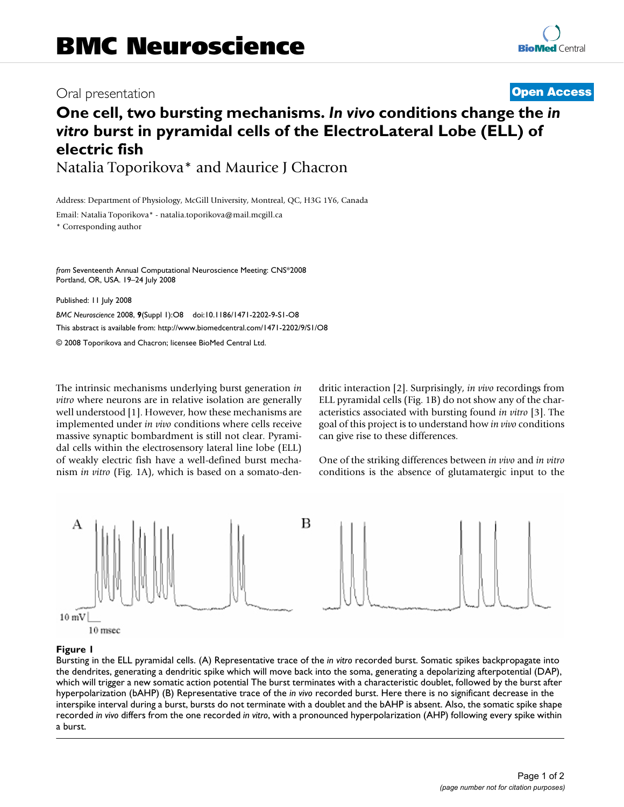## Oral presentation **[Open Access](http://www.biomedcentral.com/info/about/charter/)**

# **One cell, two bursting mechanisms.** *In vivo* **conditions change the** *in vitro* **burst in pyramidal cells of the ElectroLateral Lobe (ELL) of electric fish** Natalia Toporikova\* and Maurice J Chacron

Address: Department of Physiology, McGill University, Montreal, QC, H3G 1Y6, Canada

Email: Natalia Toporikova\* - natalia.toporikova@mail.mcgill.ca

\* Corresponding author

*from* Seventeenth Annual Computational Neuroscience Meeting: CNS\*2008 Portland, OR, USA. 19–24 July 2008

Published: 11 July 2008

*BMC Neuroscience* 2008, **9**(Suppl 1):O8 doi:10.1186/1471-2202-9-S1-O8 [This abstract is available from: http://www.biomedcentral.com/1471-2202/9/S1/O8](http://www.biomedcentral.com/1471-2202/9/S1/O8)

© 2008 Toporikova and Chacron; licensee BioMed Central Ltd.

The intrinsic mechanisms underlying burst generation *in vitro* where neurons are in relative isolation are generally well understood [1]. However, how these mechanisms are implemented under *in vivo* conditions where cells receive massive synaptic bombardment is still not clear. Pyramidal cells within the electrosensory lateral line lobe (ELL) of weakly electric fish have a well-defined burst mechanism *in vitro* (Fig. 1A), which is based on a somato-dendritic interaction [2]. Surprisingly, *in vivo* recordings from ELL pyramidal cells (Fig. 1B) do not show any of the characteristics associated with bursting found *in vitro* [3]. The goal of this project is to understand how *in vivo* conditions can give rise to these differences.

One of the striking differences between *in vivo* and *in vitro* conditions is the absence of glutamatergic input to the



## **Figure 1**

Bursting in the ELL pyramidal cells. (A) Representative trace of the *in vitro* recorded burst. Somatic spikes backpropagate into the dendrites, generating a dendritic spike which will move back into the soma, generating a depolarizing afterpotential (DAP), which will trigger a new somatic action potential The burst terminates with a characteristic doublet, followed by the burst after hyperpolarization (bAHP) (B) Representative trace of the *in vivo* recorded burst. Here there is no significant decrease in the interspike interval during a burst, bursts do not terminate with a doublet and the bAHP is absent. Also, the somatic spike shape recorded *in vivo* differs from the one recorded *in vitro*, with a pronounced hyperpolarization (AHP) following every spike within a burst.